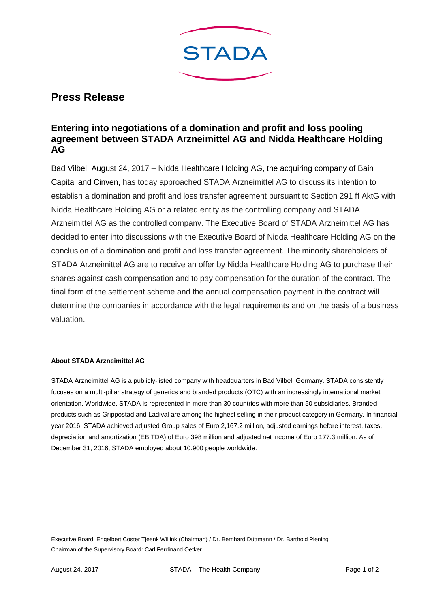

## **Press Release**

## **Entering into negotiations of a domination and profit and loss pooling agreement between STADA Arzneimittel AG and Nidda Healthcare Holding AG**

Bad Vilbel, August 24, 2017 – Nidda Healthcare Holding AG, the acquiring company of Bain Capital and Cinven, has today approached STADA Arzneimittel AG to discuss its intention to establish a domination and profit and loss transfer agreement pursuant to Section 291 ff AktG with Nidda Healthcare Holding AG or a related entity as the controlling company and STADA Arzneimittel AG as the controlled company. The Executive Board of STADA Arzneimittel AG has decided to enter into discussions with the Executive Board of Nidda Healthcare Holding AG on the conclusion of a domination and profit and loss transfer agreement. The minority shareholders of STADA Arzneimittel AG are to receive an offer by Nidda Healthcare Holding AG to purchase their shares against cash compensation and to pay compensation for the duration of the contract. The final form of the settlement scheme and the annual compensation payment in the contract will determine the companies in accordance with the legal requirements and on the basis of a business valuation.

## **About STADA Arzneimittel AG**

STADA Arzneimittel AG is a publicly-listed company with headquarters in Bad Vilbel, Germany. STADA consistently focuses on a multi-pillar strategy of generics and branded products (OTC) with an increasingly international market orientation. Worldwide, STADA is represented in more than 30 countries with more than 50 subsidiaries. Branded products such as Grippostad and Ladival are among the highest selling in their product category in Germany. In financial year 2016, STADA achieved adjusted Group sales of Euro 2,167.2 million, adjusted earnings before interest, taxes, depreciation and amortization (EBITDA) of Euro 398 million and adjusted net income of Euro 177.3 million. As of December 31, 2016, STADA employed about 10.900 people worldwide.

Executive Board: Engelbert Coster Tjeenk Willink (Chairman) / Dr. Bernhard Düttmann / Dr. Barthold Piening Chairman of the Supervisory Board: Carl Ferdinand Oetker